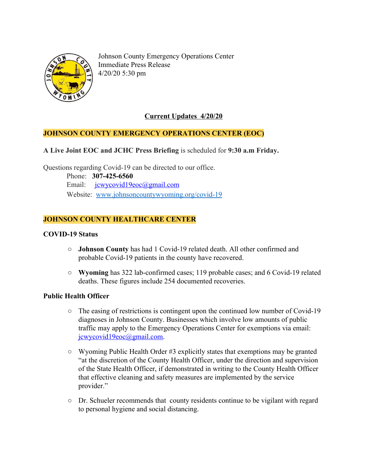

Johnson County Emergency Operations Center Immediate Press Release 4/20/20 5:30 pm

# **Current Updates 4/20/20**

## **JOHNSON COUNTY EMERGENCY OPERATIONS CENTER (EOC)**

**A Live Joint EOC and JCHC Press Briefing** is scheduled for **9:30 a.m Friday.**

Questions regarding Covid-19 can be directed to our office.

 Phone: **307-425-6560** Email: [jcwycovid19eoc@gmail.com](mailto:jcwycovid19eoc@gmail.com) Website: [www.johnsoncountywyoming.org/covid-19](http://www.johnsoncountywyoming.org/covid-19)

## **JOHNSON COUNTY HEALTHCARE CENTER**

#### **COVID-19 Status**

- **○ Johnson County** has had 1 Covid-19 related death. All other confirmed and probable Covid-19 patients in the county have recovered.
- **○ Wyoming** has 322 lab-confirmed cases; 119 probable cases; and 6 Covid-19 related deaths. These figures include 254 documented recoveries.

#### **Public Health Officer**

- The easing of restrictions is contingent upon the continued low number of Covid-19 diagnoses in Johnson County. Businesses which involve low amounts of public traffic may apply to the Emergency Operations Center for exemptions via email: [jcwycovid19eoc@gmail.com.](mailto:jcwycovid19eoc@gmail.com)
- **○** Wyoming Public Health Order #3 explicitly states that exemptions may be granted "at the discretion of the County Health Officer, under the direction and supervision of the State Health Officer, if demonstrated in writing to the County Health Officer that effective cleaning and safety measures are implemented by the service provider."
- **○** Dr. Schueler recommends that county residents continue to be vigilant with regard to personal hygiene and social distancing.